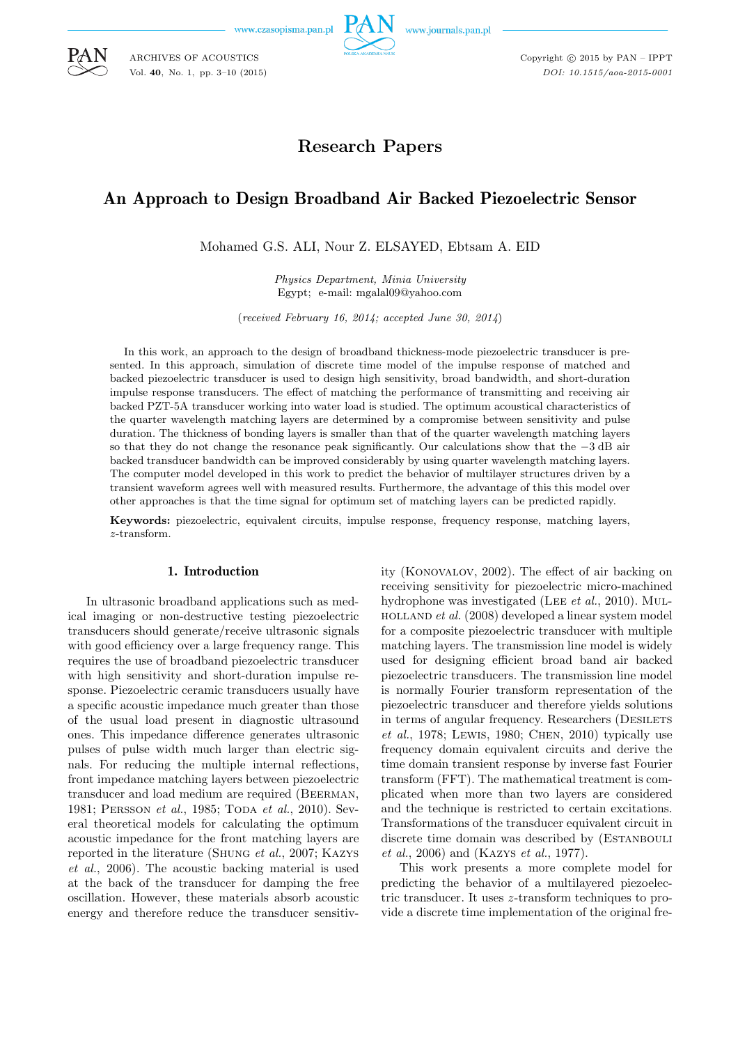www.czasopisma.pan.pl



Copyright  $\odot$  2015 by PAN - IPPT *DOI: 10.1515/aoa-2015-0001*

# **Research Papers**

# An Approach to Design Broadband Air Backed Piezoelectric Sensor

Mohamed G.S. ALI, Nour Z. ELSAYED, Ebtsam A. EID

*Physics Department, Minia University* Egypt; e-mail: mgalal09@yahoo.com

(*received February 16, 2014; accepted June 30, 2014*)

In this work, an approach to the design of broadband thickness-mode piezoelectric transducer is presented. In this approach, simulation of discrete time model of the impulse response of matched and backed piezoelectric transducer is used to design high sensitivity, broad bandwidth, and short-duration impulse response transducers. The effect of matching the performance of transmitting and receiving air backed PZT-5A transducer working into water load is studied. The optimum acoustical characteristics of the quarter wavelength matching layers are determined by a compromise between sensitivity and pulse duration. The thickness of bonding layers is smaller than that of the quarter wavelength matching layers so that they do not change the resonance peak significantly. Our calculations show that the −3 dB air backed transducer bandwidth can be improved considerably by using quarter wavelength matching layers. The computer model developed in this work to predict the behavior of multilayer structures driven by a transient waveform agrees well with measured results. Furthermore, the advantage of this this model over other approaches is that the time signal for optimum set of matching layers can be predicted rapidly.

**Keywords:** piezoelectric, equivalent circuits, impulse response, frequency response, matching layers, z-transform.

### 1. Introduction

In ultrasonic broadband applications such as medical imaging or non-destructive testing piezoelectric transducers should generate/receive ultrasonic signals with good efficiency over a large frequency range. This requires the use of broadband piezoelectric transducer with high sensitivity and short-duration impulse response. Piezoelectric ceramic transducers usually have a specific acoustic impedance much greater than those of the usual load present in diagnostic ultrasound ones. This impedance difference generates ultrasonic pulses of pulse width much larger than electric signals. For reducing the multiple internal reflections, front impedance matching layers between piezoelectric transducer and load medium are required (Beerman, 1981; PERSSON *et al.*, 1985; TODA *et al.*, 2010). Several theoretical models for calculating the optimum acoustic impedance for the front matching layers are reported in the literature (Shung *et al.*, 2007; Kazys *et al.*, 2006). The acoustic backing material is used at the back of the transducer for damping the free oscillation. However, these materials absorb acoustic energy and therefore reduce the transducer sensitivity (Konovalov, 2002). The effect of air backing on receiving sensitivity for piezoelectric micro-machined hydrophone was investigated (LEE *et al.*, 2010). MULholland *et al.* (2008) developed a linear system model for a composite piezoelectric transducer with multiple matching layers. The transmission line model is widely used for designing efficient broad band air backed piezoelectric transducers. The transmission line model is normally Fourier transform representation of the piezoelectric transducer and therefore yields solutions in terms of angular frequency. Researchers (DESILETS) *et al.*, 1978; Lewis, 1980; Chen, 2010) typically use frequency domain equivalent circuits and derive the time domain transient response by inverse fast Fourier transform (FFT). The mathematical treatment is complicated when more than two layers are considered and the technique is restricted to certain excitations. Transformations of the transducer equivalent circuit in discrete time domain was described by (ESTANBOULI *et al.*, 2006) and (Kazys *et al.*, 1977).

This work presents a more complete model for predicting the behavior of a multilayered piezoelectric transducer. It uses z-transform techniques to provide a discrete time implementation of the original fre-



ARCHIVES OF ACOUSTICS Vol. **40**, No. 1, pp. 3–10 (2015)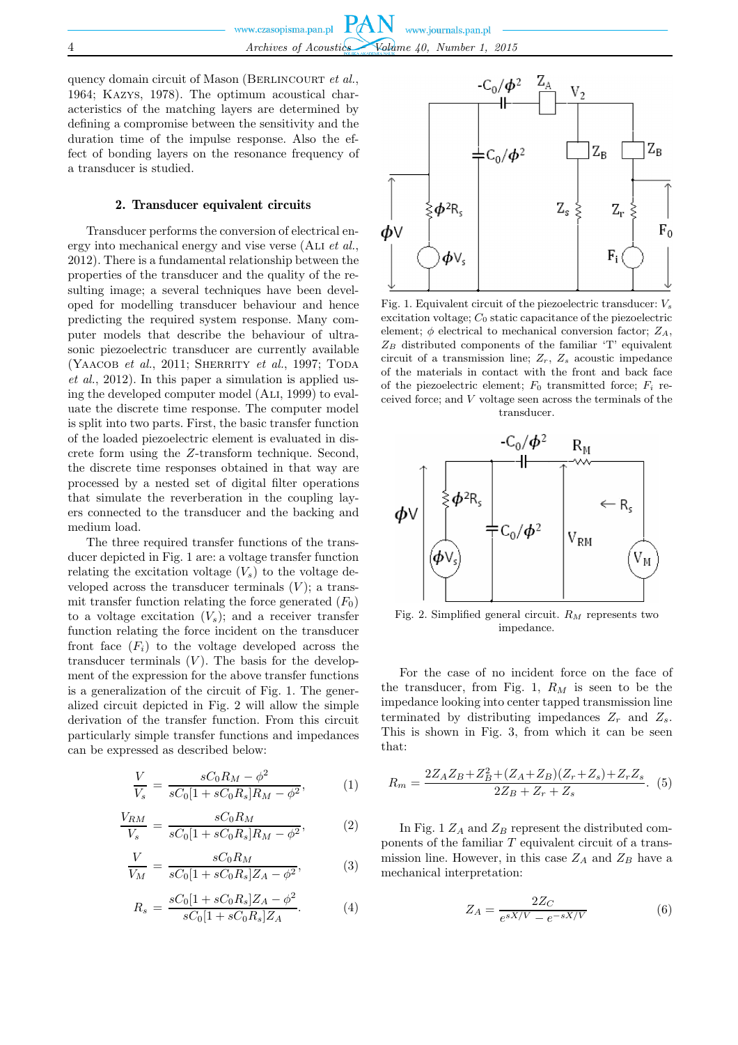quency domain circuit of Mason (BERLINCOURT *et al.*, 1964; Kazys, 1978). The optimum acoustical characteristics of the matching layers are determined by defining a compromise between the sensitivity and the duration time of the impulse response. Also the effect of bonding layers on the resonance frequency of a transducer is studied.

### 2. Transducer equivalent circuits

Transducer performs the conversion of electrical energy into mechanical energy and vise verse (Ali *et al.*, 2012). There is a fundamental relationship between the properties of the transducer and the quality of the resulting image; a several techniques have been developed for modelling transducer behaviour and hence predicting the required system response. Many computer models that describe the behaviour of ultrasonic piezoelectric transducer are currently available (YAACOB *et al.*, 2011; SHERRITY *et al.*, 1997; TODA *et al.*, 2012). In this paper a simulation is applied using the developed computer model (Ali, 1999) to evaluate the discrete time response. The computer model is split into two parts. First, the basic transfer function of the loaded piezoelectric element is evaluated in discrete form using the Z-transform technique. Second, the discrete time responses obtained in that way are processed by a nested set of digital filter operations that simulate the reverberation in the coupling layers connected to the transducer and the backing and medium load.

The three required transfer functions of the transducer depicted in Fig. 1 are: a voltage transfer function relating the excitation voltage  $(V_s)$  to the voltage developed across the transducer terminals  $(V)$ ; a transmit transfer function relating the force generated  $(F_0)$ to a voltage excitation  $(V_s)$ ; and a receiver transfer function relating the force incident on the transducer front face  $(F_i)$  to the voltage developed across the transducer terminals  $(V)$ . The basis for the development of the expression for the above transfer functions is a generalization of the circuit of Fig. 1. The generalized circuit depicted in Fig. 2 will allow the simple derivation of the transfer function. From this circuit particularly simple transfer functions and impedances can be expressed as described below:

$$
\frac{V}{V_s} = \frac{sC_0R_M - \phi^2}{sC_0[1 + sC_0R_s]R_M - \phi^2},\tag{1}
$$

$$
\frac{V_{RM}}{V_s} = \frac{sC_0R_M}{sC_0[1 + sC_0R_s]R_M - \phi^2},
$$
 (2)

$$
\frac{V}{V_M} = \frac{sC_0R_M}{sC_0[1 + sC_0R_s]Z_A - \phi^2},
$$
(3)

$$
R_s = \frac{sC_0[1 + sC_0R_s]Z_A - \phi^2}{sC_0[1 + sC_0R_s]Z_A}.
$$
 (4)



Fig. 1. Equivalent circuit of the piezoelectric transducer:  $V_s$ excitation voltage;  $C_0$  static capacitance of the piezoelectric element;  $\phi$  electrical to mechanical conversion factor;  $Z_A$ ,  $Z_B$  distributed components of the familiar 'T' equivalent circuit of a transmission line;  $Z_r$ ,  $Z_s$  acoustic impedance of the materials in contact with the front and back face of the piezoelectric element;  $F_0$  transmitted force;  $F_i$  received force; and  $V$  voltage seen across the terminals of the transducer.



Fig. 2. Simplified general circuit.  $R_M$  represents two impedance.

For the case of no incident force on the face of the transducer, from Fig. 1,  $R_M$  is seen to be the impedance looking into center tapped transmission line terminated by distributing impedances  $Z_r$  and  $Z_s$ . This is shown in Fig. 3, from which it can be seen that:

$$
R_m = \frac{2Z_A Z_B + Z_B^2 + (Z_A + Z_B)(Z_r + Z_s) + Z_r Z_s}{2Z_B + Z_r + Z_s}.
$$
 (5)

In Fig. 1  $Z_A$  and  $Z_B$  represent the distributed components of the familiar  $T$  equivalent circuit of a transmission line. However, in this case  $Z_A$  and  $Z_B$  have a mechanical interpretation:

$$
Z_A = \frac{2Z_C}{e^{sX/V} - e^{-sX/V}}\tag{6}
$$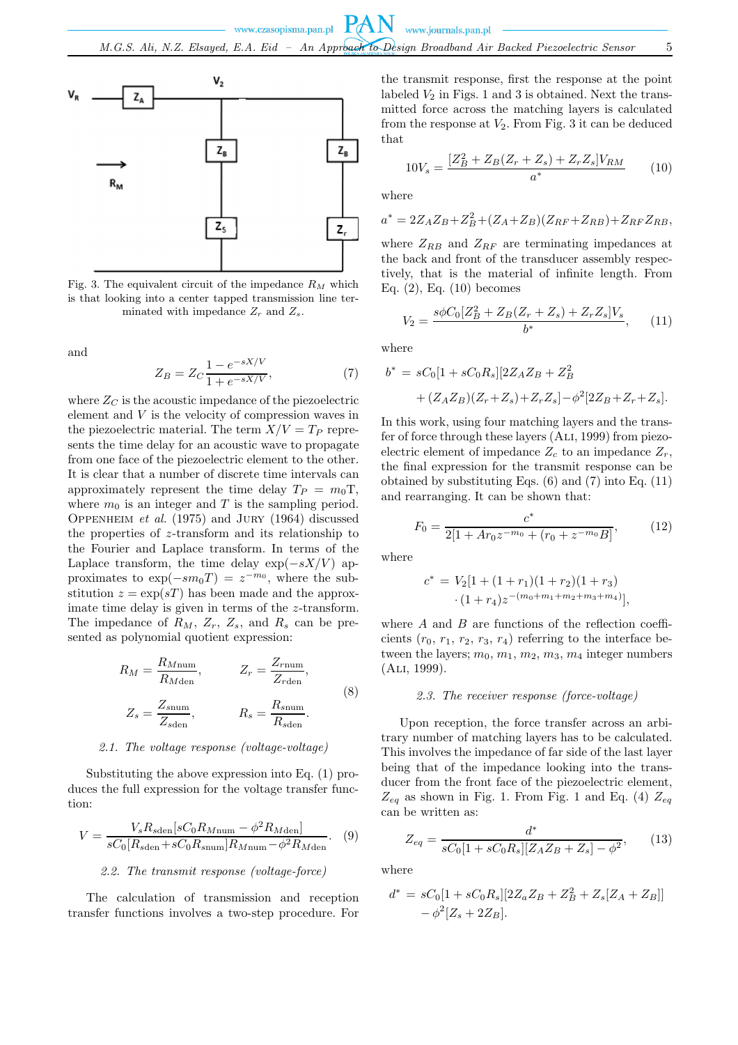*M.G.S. Ali, N.Z. Elsayed, E.A. Eid – An Approach to Design Broadband Air Backed Piezoelectric Sensor* 5

www.journals.pan.pl



Fig. 3. The equivalent circuit of the impedance  $R_M$  which is that looking into a center tapped transmission line terminated with impedance  $Z_r$  and  $Z_s$ .

and

$$
Z_B = Z_C \frac{1 - e^{-sX/V}}{1 + e^{-sX/V}},
$$
\n(7)

where  $Z_C$  is the acoustic impedance of the piezoelectric element and V is the velocity of compression waves in the piezoelectric material. The term  $X/V = T_P$  represents the time delay for an acoustic wave to propagate from one face of the piezoelectric element to the other. It is clear that a number of discrete time intervals can approximately represent the time delay  $T_P = m_0$ T, where  $m_0$  is an integer and T is the sampling period. Oppenheim *et al.* (1975) and Jury (1964) discussed the properties of z-transform and its relationship to the Fourier and Laplace transform. In terms of the Laplace transform, the time delay  $\exp(-sX/V)$  approximates to  $\exp(-sm_0T) = z^{-m_0}$ , where the substitution  $z = \exp(sT)$  has been made and the approximate time delay is given in terms of the z-transform. The impedance of  $R_M$ ,  $Z_r$ ,  $Z_s$ , and  $R_s$  can be presented as polynomial quotient expression:

$$
R_M = \frac{R_{Mnum}}{R_{Mden}}, \t Z_r = \frac{Z_{rnum}}{Z_{rden}},
$$
  

$$
Z_s = \frac{Z_{snum}}{Z_{sden}}, \t R_s = \frac{R_{snum}}{R_{sden}}.
$$
 (8)

#### *2.1. The voltage response (voltage-voltage)*

Substituting the above expression into Eq. (1) produces the full expression for the voltage transfer function:

$$
V = \frac{V_s R_{\text{sden}} [sC_0 R_{M\text{num}} - \phi^2 R_{M\text{den}}]}{sC_0 [R_{\text{sden}} + sC_0 R_{\text{snum}}] R_{M\text{num}} - \phi^2 R_{M\text{den}}}.
$$
 (9)

# *2.2. The transmit response (voltage-force)*

The calculation of transmission and reception transfer functions involves a two-step procedure. For

the transmit response, first the response at the point labeled  $V_2$  in Figs. 1 and 3 is obtained. Next the transmitted force across the matching layers is calculated from the response at  $V_2$ . From Fig. 3 it can be deduced that

$$
10V_s = \frac{[Z_B^2 + Z_B(Z_r + Z_s) + Z_r Z_s]V_{RM}}{a^*}
$$
 (10)

where

$$
a^* = 2Z_A Z_B + Z_B^2 + (Z_A + Z_B)(Z_{RF} + Z_{RB}) + Z_{RF} Z_{RB},
$$

where  $Z_{RB}$  and  $Z_{RF}$  are terminating impedances at the back and front of the transducer assembly respectively, that is the material of infinite length. From Eq. (2), Eq. (10) becomes

$$
V_2 = \frac{s\phi C_0[Z_B^2 + Z_B(Z_r + Z_s) + Z_r Z_s]V_s}{b^*},
$$
 (11)

where

$$
b^* = sC_0[1 + sC_0R_s][2Z_AZ_B + Z_B^2
$$
  
+  $(Z_AZ_B)(Z_r+Z_s)+Z_rZ_s]-\phi^2[2Z_B+Z_r+Z_s].$ 

In this work, using four matching layers and the transfer of force through these layers (Ali, 1999) from piezoelectric element of impedance  $Z_c$  to an impedance  $Z_r$ , the final expression for the transmit response can be obtained by substituting Eqs. (6) and (7) into Eq. (11) and rearranging. It can be shown that:

$$
F_0 = \frac{c^*}{2[1 + Ar_0 z^{-m_0} + (r_0 + z^{-m_0} B]},\tag{12}
$$

where

$$
c^* = V_2[1 + (1 + r_1)(1 + r_2)(1 + r_3) \cdot (1 + r_4)z^{-(m_0 + m_1 + m_2 + m_3 + m_4)}],
$$

where  $A$  and  $B$  are functions of the reflection coefficients  $(r_0, r_1, r_2, r_3, r_4)$  referring to the interface between the layers;  $m_0$ ,  $m_1$ ,  $m_2$ ,  $m_3$ ,  $m_4$  integer numbers (Ali, 1999).

#### *2.3. The receiver response (force-voltage)*

Upon reception, the force transfer across an arbitrary number of matching layers has to be calculated. This involves the impedance of far side of the last layer being that of the impedance looking into the transducer from the front face of the piezoelectric element,  $Z_{eq}$  as shown in Fig. 1. From Fig. 1 and Eq. (4)  $Z_{eq}$ can be written as:

$$
Z_{eq} = \frac{d^*}{sC_0[1 + sC_0R_s][Z_AZ_B + Z_s] - \phi^2},\qquad(13)
$$

where

$$
d^* = sC_0[1 + sC_0R_s][2Z_aZ_B + Z_B^2 + Z_s[Z_A + Z_B]]
$$
  

$$
-\phi^2[Z_s + 2Z_B].
$$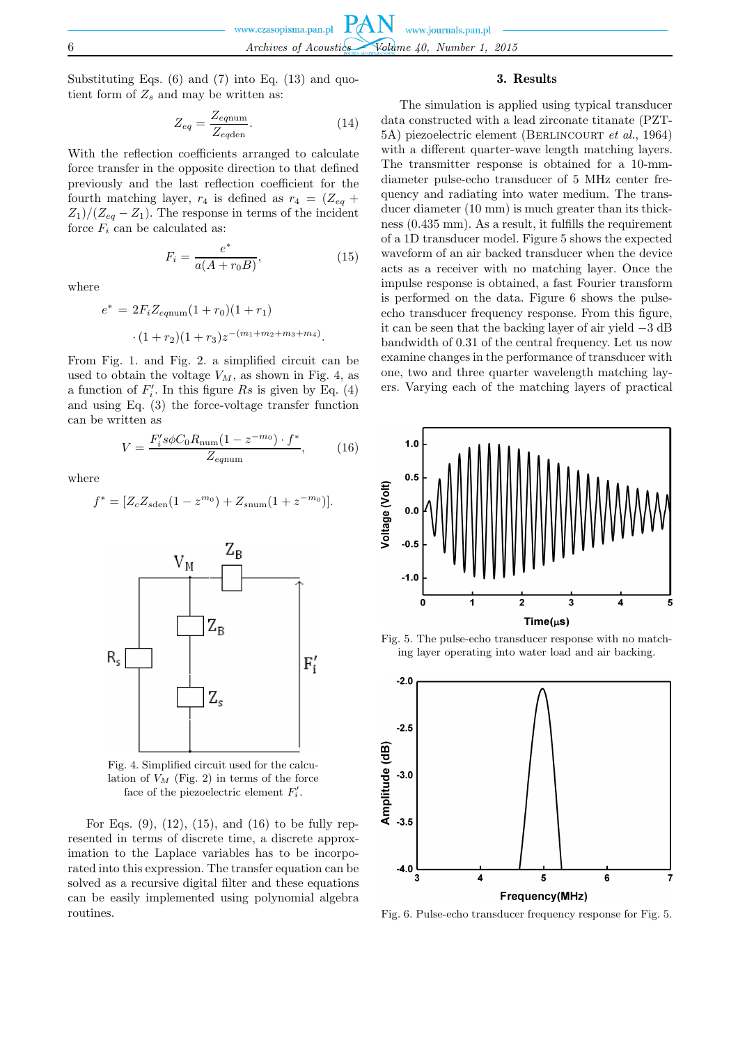Substituting Eqs.  $(6)$  and  $(7)$  into Eq.  $(13)$  and quotient form of  $Z_s$  and may be written as:

$$
Z_{eq} = \frac{Z_{eqnum}}{Z_{eqden}}.\t(14)
$$

With the reflection coefficients arranged to calculate force transfer in the opposite direction to that defined previously and the last reflection coefficient for the fourth matching layer,  $r_4$  is defined as  $r_4 = (Z_{eq} +$  $Z_1$ )/( $Z_{eq} - Z_1$ ). The response in terms of the incident force  $F_i$  can be calculated as:

$$
F_i = \frac{e^*}{a(A + r_0 B)},
$$
\n(15)

where

$$
e^* = 2F_i Z_{eqnum}(1+r_0)(1+r_1)
$$

$$
\cdot (1+r_2)(1+r_3)z^{-(m_1+m_2+m_3+m_4)}.
$$

From Fig. 1. and Fig. 2. a simplified circuit can be used to obtain the voltage  $V_M$ , as shown in Fig. 4, as a function of  $F_i'$ . In this figure Rs is given by Eq. (4) and using Eq. (3) the force-voltage transfer function can be written as

$$
V = \frac{F_i's\phi C_0 R_{\text{num}} (1 - z^{-m_0}) \cdot f^*}{Z_{eq\text{num}}},
$$
 (16)

where

$$
f^* = [Z_c Z_{\text{sden}} (1 - z^{m_0}) + Z_{\text{shum}} (1 + z^{-m_0})].
$$



Fig. 4. Simplified circuit used for the calculation of  $V_M$  (Fig. 2) in terms of the force face of the piezoelectric element  $F_i'$ .

For Eqs.  $(9)$ ,  $(12)$ ,  $(15)$ , and  $(16)$  to be fully represented in terms of discrete time, a discrete approximation to the Laplace variables has to be incorporated into this expression. The transfer equation can be solved as a recursive digital filter and these equations can be easily implemented using polynomial algebra routines.

### 3. Results

The simulation is applied using typical transducer data constructed with a lead zirconate titanate (PZT-5A) piezoelectric element (Berlincourt *et al.*, 1964) with a different quarter-wave length matching layers. The transmitter response is obtained for a 10-mmdiameter pulse-echo transducer of 5 MHz center frequency and radiating into water medium. The transducer diameter (10 mm) is much greater than its thickness (0.435 mm). As a result, it fulfills the requirement of a 1D transducer model. Figure 5 shows the expected waveform of an air backed transducer when the device acts as a receiver with no matching layer. Once the impulse response is obtained, a fast Fourier transform is performed on the data. Figure 6 shows the pulseecho transducer frequency response. From this figure, it can be seen that the backing layer of air yield −3 dB bandwidth of 0.31 of the central frequency. Let us now examine changes in the performance of transducer with one, two and three quarter wavelength matching layers. Varying each of the matching layers of practical



Fig. 5. The pulse-echo transducer response with no matching layer operating into water load and air backing.



Fig. 6. Pulse-echo transducer frequency response for Fig. 5.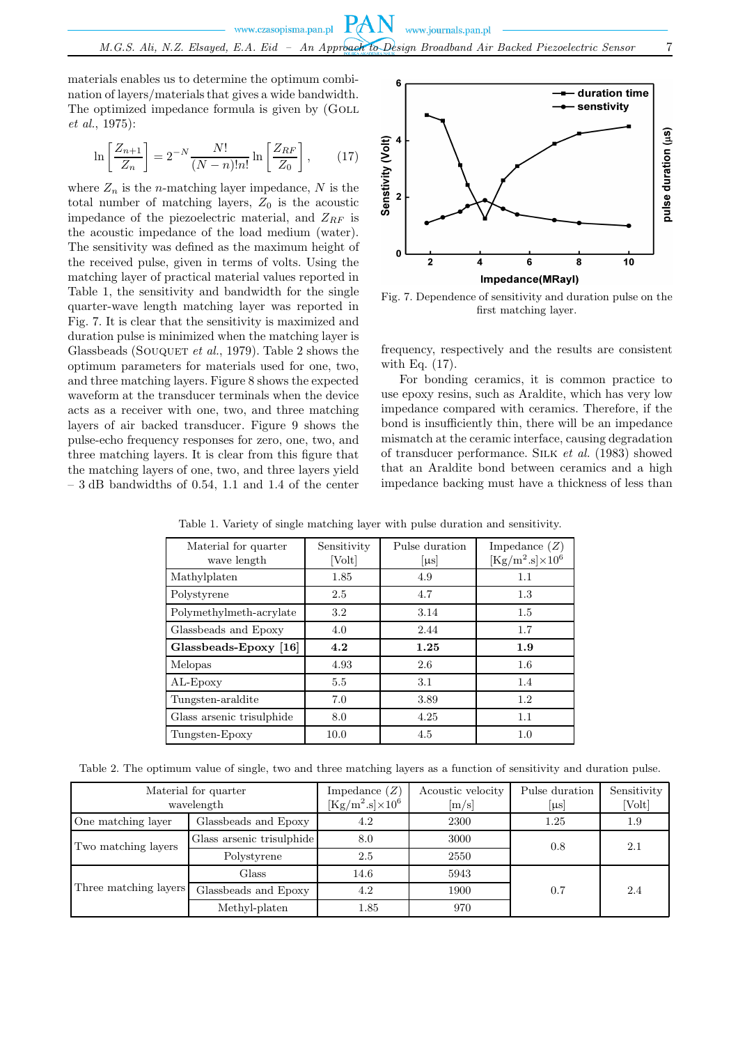materials enables us to determine the optimum combination of layers/materials that gives a wide bandwidth. The optimized impedance formula is given by (GOLL) *et al.*, 1975):

$$
\ln\left[\frac{Z_{n+1}}{Z_n}\right] = 2^{-N} \frac{N!}{(N-n)!n!} \ln\left[\frac{Z_{RF}}{Z_0}\right],\qquad(17)
$$

where  $Z_n$  is the *n*-matching layer impedance, N is the total number of matching layers,  $Z_0$  is the acoustic impedance of the piezoelectric material, and  $Z_{RF}$  is the acoustic impedance of the load medium (water). The sensitivity was defined as the maximum height of the received pulse, given in terms of volts. Using the matching layer of practical material values reported in Table 1, the sensitivity and bandwidth for the single quarter-wave length matching layer was reported in Fig. 7. It is clear that the sensitivity is maximized and duration pulse is minimized when the matching layer is Glassbeads (SOUQUET *et al.*, 1979). Table 2 shows the optimum parameters for materials used for one, two, and three matching layers. Figure 8 shows the expected waveform at the transducer terminals when the device acts as a receiver with one, two, and three matching layers of air backed transducer. Figure 9 shows the pulse-echo frequency responses for zero, one, two, and three matching layers. It is clear from this figure that the matching layers of one, two, and three layers yield  $-3$  dB bandwidths of 0.54, 1.1 and 1.4 of the center



Fig. 7. Dependence of sensitivity and duration pulse on the first matching layer.

frequency, respectively and the results are consistent with Eq. (17).

For bonding ceramics, it is common practice to use epoxy resins, such as Araldite, which has very low impedance compared with ceramics. Therefore, if the bond is insufficiently thin, there will be an impedance mismatch at the ceramic interface, causing degradation of transducer performance. Silk *et al.* (1983) showed that an Araldite bond between ceramics and a high impedance backing must have a thickness of less than

| Material for quarter<br>wave length | Sensitivity<br>[Volt] | Pulse duration<br>$ \mu s $ | Impedance $(Z)$<br>$[Kg/m^2.s] \times 10^6$ |
|-------------------------------------|-----------------------|-----------------------------|---------------------------------------------|
| Mathylplaten                        | 1.85                  | 4.9                         | 1.1                                         |
| Polystyrene                         | 2.5                   | 4.7                         | 1.3                                         |
| Polymethylmeth-acrylate             | 3.2                   | 3.14                        | 1.5                                         |
| Glassbeads and Epoxy                | 4.0                   | 2.44                        | 1.7                                         |
| Glassbeads-Epoxy [16]               | 4.2                   | 1.25                        | 1.9                                         |
| Melopas                             | 4.93                  | 2.6                         | $1.6\,$                                     |
| AL-Epoxy                            | 5.5                   | 3.1                         | 1.4                                         |
| Tungsten-araldite                   | 7.0                   | 3.89                        | 1.2                                         |
| Glass arsenic trisulphide           | 8.0                   | 4.25                        | 1.1                                         |
| Tungsten-Epoxy                      | 10.0                  | 4.5                         | 1.0                                         |

Table 1. Variety of single matching layer with pulse duration and sensitivity.

Table 2. The optimum value of single, two and three matching layers as a function of sensitivity and duration pulse.

| Material for quarter<br>wavelength |                           | Impedance $(Z)$<br>$[Kg/m^2.s] \times 10^6$ | Acoustic velocity<br>[m/s] | Pulse duration<br>$ \mu\mathrm{s} $ | Sensitivity<br>[Volt] |
|------------------------------------|---------------------------|---------------------------------------------|----------------------------|-------------------------------------|-----------------------|
| One matching layer                 | Glassbeads and Epoxy      | 4.2                                         | 2300                       | 1.25                                | 1.9                   |
| Two matching layers                | Glass arsenic trisulphide | 8.0                                         | 3000                       | 0.8                                 | 2.1                   |
|                                    | Polystyrene               | 2.5                                         | 2550                       |                                     |                       |
| Three matching layers              | Glass                     | 14.6                                        | 5943                       |                                     |                       |
|                                    | Glassbeads and Epoxy      | 4.2                                         | 1900                       | 0.7                                 | 2.4                   |
|                                    | Methyl-platen             | 1.85                                        | 970                        |                                     |                       |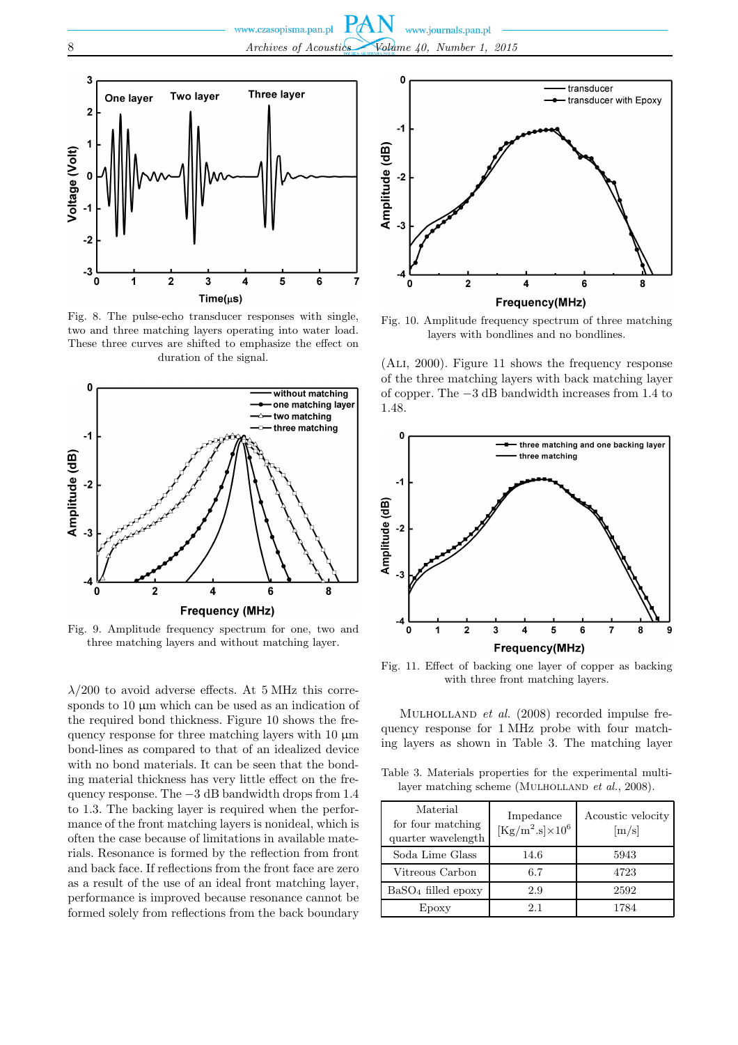

Fig. 8. The pulse-echo transducer responses with single, two and three matching layers operating into water load. These three curves are shifted to emphasize the effect on duration of the signal.



Fig. 9. Amplitude frequency spectrum for one, two and three matching layers and without matching layer.

 $\lambda/200$  to avoid adverse effects. At 5 MHz this corresponds to 10  $\mu$ m which can be used as an indication of the required bond thickness. Figure 10 shows the frequency response for three matching layers with  $10 \mu m$ bond-lines as compared to that of an idealized device with no bond materials. It can be seen that the bonding material thickness has very little effect on the frequency response. The −3 dB bandwidth drops from 1.4 to 1.3. The backing layer is required when the performance of the front matching layers is nonideal, which is often the case because of limitations in available materials. Resonance is formed by the reflection from front and back face. If reflections from the front face are zero as a result of the use of an ideal front matching layer, performance is improved because resonance cannot be formed solely from reflections from the back boundary



Fig. 10. Amplitude frequency spectrum of three matching layers with bondlines and no bondlines.

(Ali, 2000). Figure 11 shows the frequency response of the three matching layers with back matching layer of copper. The −3 dB bandwidth increases from 1.4 to 1.48.



Fig. 11. Effect of backing one layer of copper as backing with three front matching layers.

Mulholland *et al.* (2008) recorded impulse frequency response for 1 MHz probe with four matching layers as shown in Table 3. The matching layer

Table 3. Materials properties for the experimental multilayer matching scheme (Mulholland *et al.*, 2008).

| Material<br>for four matching<br>quarter wavelength | Impedance<br>$[Kg/m^2.s] \times 10^6$ | Acoustic velocity<br>[m/s] |
|-----------------------------------------------------|---------------------------------------|----------------------------|
| Soda Lime Glass                                     | 14.6                                  | 5943                       |
| Vitreous Carbon                                     | 6.7                                   | 4723                       |
| $BaSO4$ filled epoxy                                | 2.9                                   | 2592                       |
| Epoxy                                               | 21                                    | 1784                       |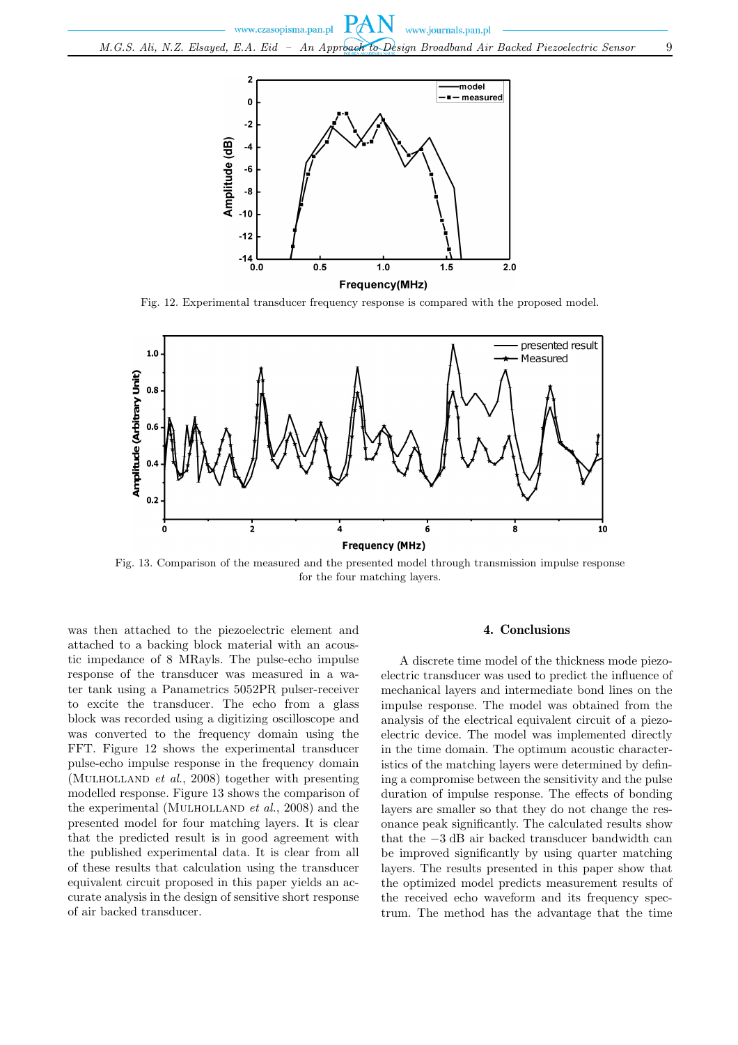

Fig. 12. Experimental transducer frequency response is compared with the proposed model.



Fig. 13. Comparison of the measured and the presented model through transmission impulse response for the four matching layers.

was then attached to the piezoelectric element and attached to a backing block material with an acoustic impedance of 8 MRayls. The pulse-echo impulse response of the transducer was measured in a water tank using a Panametrics 5052PR pulser-receiver to excite the transducer. The echo from a glass block was recorded using a digitizing oscilloscope and was converted to the frequency domain using the FFT. Figure 12 shows the experimental transducer pulse-echo impulse response in the frequency domain (Mulholland *et al.*, 2008) together with presenting modelled response. Figure 13 shows the comparison of the experimental (Mulholland *et al.*, 2008) and the presented model for four matching layers. It is clear that the predicted result is in good agreement with the published experimental data. It is clear from all of these results that calculation using the transducer equivalent circuit proposed in this paper yields an accurate analysis in the design of sensitive short response of air backed transducer.

# 4. Conclusions

A discrete time model of the thickness mode piezoelectric transducer was used to predict the influence of mechanical layers and intermediate bond lines on the impulse response. The model was obtained from the analysis of the electrical equivalent circuit of a piezoelectric device. The model was implemented directly in the time domain. The optimum acoustic characteristics of the matching layers were determined by defining a compromise between the sensitivity and the pulse duration of impulse response. The effects of bonding layers are smaller so that they do not change the resonance peak significantly. The calculated results show that the −3 dB air backed transducer bandwidth can be improved significantly by using quarter matching layers. The results presented in this paper show that the optimized model predicts measurement results of the received echo waveform and its frequency spectrum. The method has the advantage that the time